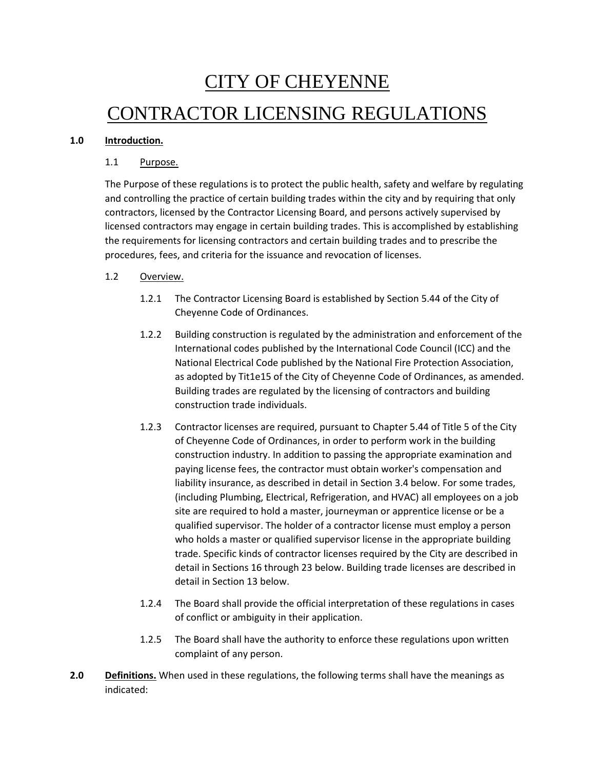# CITY OF CHEYENNE CONTRACTOR LICENSING REGULATIONS

## **1.0 Introduction.**

## 1.1 Purpose.

The Purpose of these regulations is to protect the public health, safety and welfare by regulating and controlling the practice of certain building trades within the city and by requiring that only contractors, licensed by the Contractor Licensing Board, and persons actively supervised by licensed contractors may engage in certain building trades. This is accomplished by establishing the requirements for licensing contractors and certain building trades and to prescribe the procedures, fees, and criteria for the issuance and revocation of licenses.

## 1.2 Overview.

- 1.2.1 The Contractor Licensing Board is established by Section 5.44 of the City of Cheyenne Code of Ordinances.
- 1.2.2 Building construction is regulated by the administration and enforcement of the International codes published by the International Code Council (ICC) and the National Electrical Code published by the National Fire Protection Association, as adopted by Tit1e15 of the City of Cheyenne Code of Ordinances, as amended. Building trades are regulated by the licensing of contractors and building construction trade individuals.
- 1.2.3 Contractor licenses are required, pursuant to Chapter 5.44 of Title 5 of the City of Cheyenne Code of Ordinances, in order to perform work in the building construction industry. In addition to passing the appropriate examination and paying license fees, the contractor must obtain worker's compensation and liability insurance, as described in detail in Section 3.4 below. For some trades, (including Plumbing, Electrical, Refrigeration, and HVAC) all employees on a job site are required to hold a master, journeyman or apprentice license or be a qualified supervisor. The holder of a contractor license must employ a person who holds a master or qualified supervisor license in the appropriate building trade. Specific kinds of contractor licenses required by the City are described in detail in Sections 16 through 23 below. Building trade licenses are described in detail in Section 13 below.
- 1.2.4 The Board shall provide the official interpretation of these regulations in cases of conflict or ambiguity in their application.
- 1.2.5 The Board shall have the authority to enforce these regulations upon written complaint of any person.
- **2.0 Definitions.** When used in these regulations, the following terms shall have the meanings as indicated: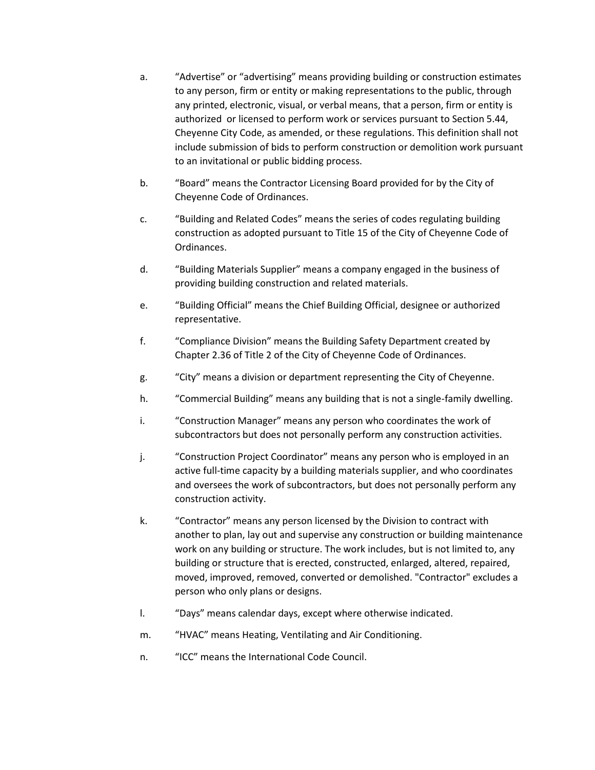- a. "Advertise" or "advertising" means providing building or construction estimates to any person, firm or entity or making representations to the public, through any printed, electronic, visual, or verbal means, that a person, firm or entity is authorized or licensed to perform work or services pursuant to Section 5.44, Cheyenne City Code, as amended, or these regulations. This definition shall not include submission of bids to perform construction or demolition work pursuant to an invitational or public bidding process.
- b. "Board" means the Contractor Licensing Board provided for by the City of Cheyenne Code of Ordinances.
- c. "Building and Related Codes" means the series of codes regulating building construction as adopted pursuant to Title 15 of the City of Cheyenne Code of Ordinances.
- d. "Building Materials Supplier" means a company engaged in the business of providing building construction and related materials.
- e. "Building Official" means the Chief Building Official, designee or authorized representative.
- f. "Compliance Division" means the Building Safety Department created by Chapter 2.36 of Title 2 of the City of Cheyenne Code of Ordinances.
- g. "City" means a division or department representing the City of Cheyenne.
- h. "Commercial Building" means any building that is not a single-family dwelling.
- i. "Construction Manager" means any person who coordinates the work of subcontractors but does not personally perform any construction activities.
- j. "Construction Project Coordinator" means any person who is employed in an active full-time capacity by a building materials supplier, and who coordinates and oversees the work of subcontractors, but does not personally perform any construction activity.
- k. "Contractor" means any person licensed by the Division to contract with another to plan, lay out and supervise any construction or building maintenance work on any building or structure. The work includes, but is not limited to, any building or structure that is erected, constructed, enlarged, altered, repaired, moved, improved, removed, converted or demolished. "Contractor" excludes a person who only plans or designs.
- l. "Days" means calendar days, except where otherwise indicated.
- m. "HVAC" means Heating, Ventilating and Air Conditioning.
- n. "ICC" means the International Code Council.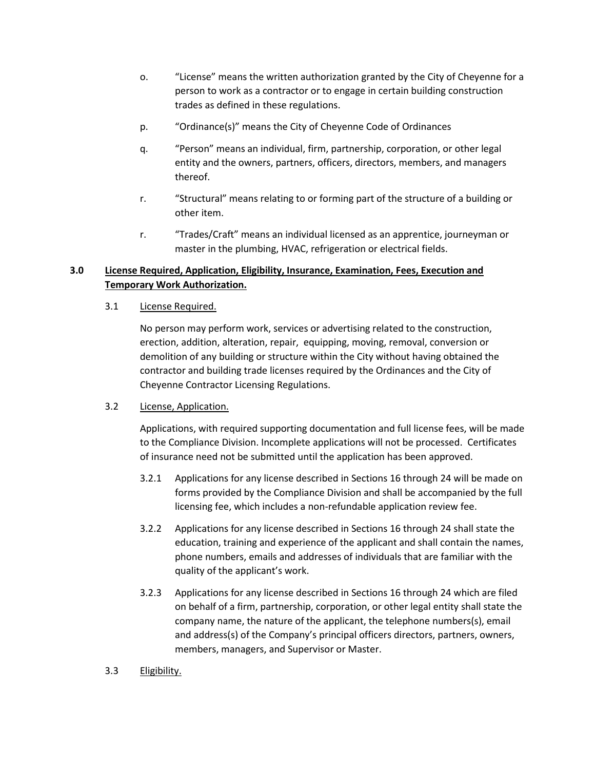- o. "License" means the written authorization granted by the City of Cheyenne for a person to work as a contractor or to engage in certain building construction trades as defined in these regulations.
- p. "Ordinance(s)" means the City of Cheyenne Code of Ordinances
- q. "Person" means an individual, firm, partnership, corporation, or other legal entity and the owners, partners, officers, directors, members, and managers thereof.
- r. "Structural" means relating to or forming part of the structure of a building or other item.
- r. "Trades/Craft" means an individual licensed as an apprentice, journeyman or master in the plumbing, HVAC, refrigeration or electrical fields.

# **3.0 License Required, Application, Eligibility, Insurance, Examination, Fees, Execution and Temporary Work Authorization.**

#### 3.1 License Required.

No person may perform work, services or advertising related to the construction, erection, addition, alteration, repair, equipping, moving, removal, conversion or demolition of any building or structure within the City without having obtained the contractor and building trade licenses required by the Ordinances and the City of Cheyenne Contractor Licensing Regulations.

# 3.2 License, Application.

Applications, with required supporting documentation and full license fees, will be made to the Compliance Division. Incomplete applications will not be processed. Certificates of insurance need not be submitted until the application has been approved.

- 3.2.1 Applications for any license described in Sections 16 through 24 will be made on forms provided by the Compliance Division and shall be accompanied by the full licensing fee, which includes a non-refundable application review fee.
- 3.2.2 Applications for any license described in Sections 16 through 24 shall state the education, training and experience of the applicant and shall contain the names, phone numbers, emails and addresses of individuals that are familiar with the quality of the applicant's work.
- 3.2.3 Applications for any license described in Sections 16 through 24 which are filed on behalf of a firm, partnership, corporation, or other legal entity shall state the company name, the nature of the applicant, the telephone numbers(s), email and address(s) of the Company's principal officers directors, partners, owners, members, managers, and Supervisor or Master.

#### 3.3 Eligibility.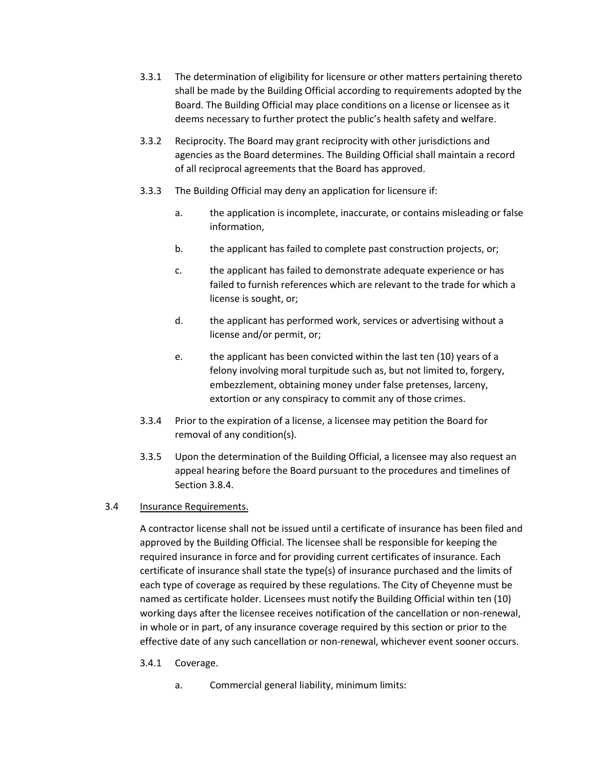- 3.3.1 The determination of eligibility for licensure or other matters pertaining thereto shall be made by the Building Official according to requirements adopted by the Board. The Building Official may place conditions on a license or licensee as it deems necessary to further protect the public's health safety and welfare.
- 3.3.2 Reciprocity. The Board may grant reciprocity with other jurisdictions and agencies as the Board determines. The Building Official shall maintain a record of all reciprocal agreements that the Board has approved.
- 3.3.3 The Building Official may deny an application for licensure if:
	- a. the application is incomplete, inaccurate, or contains misleading or false information,
	- b. the applicant has failed to complete past construction projects, or;
	- c. the applicant has failed to demonstrate adequate experience or has failed to furnish references which are relevant to the trade for which a license is sought, or;
	- d. the applicant has performed work, services or advertising without a license and/or permit, or;
	- e. the applicant has been convicted within the last ten (10) years of a felony involving moral turpitude such as, but not limited to, forgery, embezzlement, obtaining money under false pretenses, larceny, extortion or any conspiracy to commit any of those crimes.
- 3.3.4 Prior to the expiration of a license, a licensee may petition the Board for removal of any condition(s).
- 3.3.5 Upon the determination of the Building Official, a licensee may also request an appeal hearing before the Board pursuant to the procedures and timelines of Section 3.8.4.

# 3.4 Insurance Requirements.

A contractor license shall not be issued until a certificate of insurance has been filed and approved by the Building Official. The licensee shall be responsible for keeping the required insurance in force and for providing current certificates of insurance. Each certificate of insurance shall state the type(s) of insurance purchased and the limits of each type of coverage as required by these regulations. The City of Cheyenne must be named as certificate holder. Licensees must notify the Building Official within ten (10) working days after the licensee receives notification of the cancellation or non-renewal, in whole or in part, of any insurance coverage required by this section or prior to the effective date of any such cancellation or non-renewal, whichever event sooner occurs.

- 3.4.1 Coverage.
	- a. Commercial general liability, minimum limits: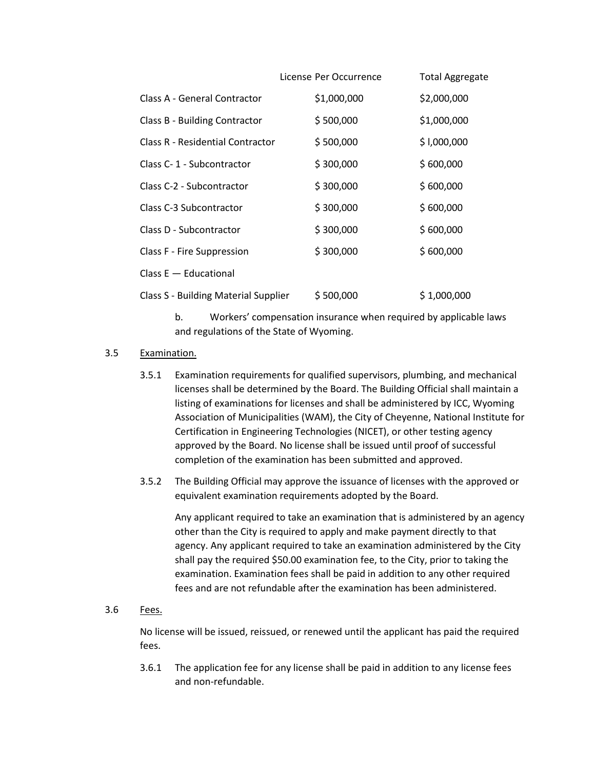| License Per Occurrence                                   | Total Aggregate |
|----------------------------------------------------------|-----------------|
| \$1,000,000                                              | \$2,000,000     |
| \$500,000                                                | \$1,000,000     |
| \$500,000                                                | \$1,000,000     |
| \$300,000                                                | \$600,000       |
| \$300,000                                                | \$600,000       |
| \$300,000                                                | \$600,000       |
| \$300,000                                                | \$600,000       |
| \$300,000                                                | \$600,000       |
|                                                          |                 |
| <b>Class S - Building Material Supplier</b><br>\$500,000 | \$1,000,000     |
|                                                          |                 |

b. Workers' compensation insurance when required by applicable laws and regulations of the State of Wyoming.

#### 3.5 Examination.

- 3.5.1 Examination requirements for qualified supervisors, plumbing, and mechanical licenses shall be determined by the Board. The Building Official shall maintain a listing of examinations for licenses and shall be administered by ICC, Wyoming Association of Municipalities (WAM), the City of Cheyenne, National Institute for Certification in Engineering Technologies (NICET), or other testing agency approved by the Board. No license shall be issued until proof of successful completion of the examination has been submitted and approved.
- 3.5.2 The Building Official may approve the issuance of licenses with the approved or equivalent examination requirements adopted by the Board.

Any applicant required to take an examination that is administered by an agency other than the City is required to apply and make payment directly to that agency. Any applicant required to take an examination administered by the City shall pay the required \$50.00 examination fee, to the City, prior to taking the examination. Examination fees shall be paid in addition to any other required fees and are not refundable after the examination has been administered.

#### 3.6 Fees.

No license will be issued, reissued, or renewed until the applicant has paid the required fees.

3.6.1 The application fee for any license shall be paid in addition to any license fees and non-refundable.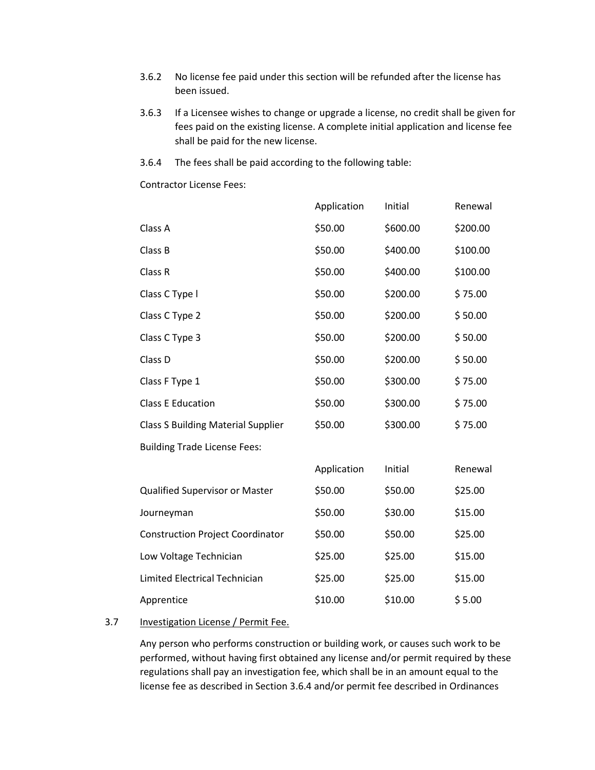- 3.6.2 No license fee paid under this section will be refunded after the license has been issued.
- 3.6.3 If a Licensee wishes to change or upgrade a license, no credit shall be given for fees paid on the existing license. A complete initial application and license fee shall be paid for the new license.
- 3.6.4 The fees shall be paid according to the following table:

Contractor License Fees:

|                                           | Application | Initial  | Renewal  |
|-------------------------------------------|-------------|----------|----------|
| Class A                                   | \$50.00     | \$600.00 | \$200.00 |
| Class B                                   | \$50.00     | \$400.00 | \$100.00 |
| Class R                                   | \$50.00     | \$400.00 | \$100.00 |
| Class C Type I                            | \$50.00     | \$200.00 | \$75.00  |
| Class C Type 2                            | \$50.00     | \$200.00 | \$50.00  |
| Class C Type 3                            | \$50.00     | \$200.00 | \$50.00  |
| Class D                                   | \$50.00     | \$200.00 | \$50.00  |
| Class F Type 1                            | \$50.00     | \$300.00 | \$75.00  |
| <b>Class E Education</b>                  | \$50.00     | \$300.00 | \$75.00  |
| <b>Class S Building Material Supplier</b> | \$50.00     | \$300.00 | \$75.00  |
| <b>Building Trade License Fees:</b>       |             |          |          |
|                                           | Application | Initial  | Renewal  |
| Qualified Supervisor or Master            | \$50.00     | \$50.00  | \$25.00  |
| Journeyman                                | \$50.00     | \$30.00  | \$15.00  |
| <b>Construction Project Coordinator</b>   | \$50.00     | \$50.00  | \$25.00  |
| Low Voltage Technician                    | \$25.00     | \$25.00  | \$15.00  |
| Limited Electrical Technician             | \$25.00     | \$25.00  | \$15.00  |
| Apprentice                                | \$10.00     | \$10.00  | \$5.00   |

## 3.7 Investigation License / Permit Fee.

Any person who performs construction or building work, or causes such work to be performed, without having first obtained any license and/or permit required by these regulations shall pay an investigation fee, which shall be in an amount equal to the license fee as described in Section 3.6.4 and/or permit fee described in Ordinances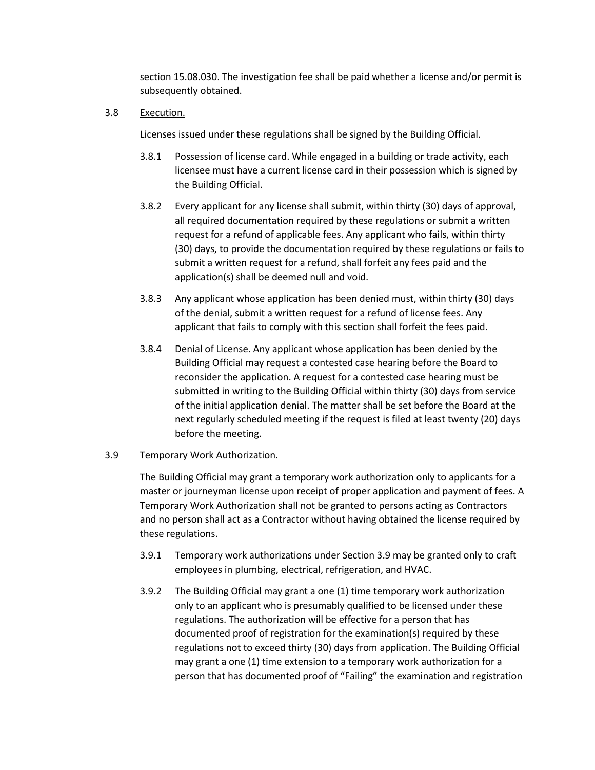section 15.08.030. The investigation fee shall be paid whether a license and/or permit is subsequently obtained.

3.8 Execution.

Licenses issued under these regulations shall be signed by the Building Official.

- 3.8.1 Possession of license card. While engaged in a building or trade activity, each licensee must have a current license card in their possession which is signed by the Building Official.
- 3.8.2 Every applicant for any license shall submit, within thirty (30) days of approval, all required documentation required by these regulations or submit a written request for a refund of applicable fees. Any applicant who fails, within thirty (30) days, to provide the documentation required by these regulations or fails to submit a written request for a refund, shall forfeit any fees paid and the application(s) shall be deemed null and void.
- 3.8.3 Any applicant whose application has been denied must, within thirty (30) days of the denial, submit a written request for a refund of license fees. Any applicant that fails to comply with this section shall forfeit the fees paid.
- 3.8.4 Denial of License. Any applicant whose application has been denied by the Building Official may request a contested case hearing before the Board to reconsider the application. A request for a contested case hearing must be submitted in writing to the Building Official within thirty (30) days from service of the initial application denial. The matter shall be set before the Board at the next regularly scheduled meeting if the request is filed at least twenty (20) days before the meeting.

#### 3.9 Temporary Work Authorization.

The Building Official may grant a temporary work authorization only to applicants for a master or journeyman license upon receipt of proper application and payment of fees. A Temporary Work Authorization shall not be granted to persons acting as Contractors and no person shall act as a Contractor without having obtained the license required by these regulations.

- 3.9.1 Temporary work authorizations under Section 3.9 may be granted only to craft employees in plumbing, electrical, refrigeration, and HVAC.
- 3.9.2 The Building Official may grant a one (1) time temporary work authorization only to an applicant who is presumably qualified to be licensed under these regulations. The authorization will be effective for a person that has documented proof of registration for the examination(s) required by these regulations not to exceed thirty (30) days from application. The Building Official may grant a one (1) time extension to a temporary work authorization for a person that has documented proof of "Failing" the examination and registration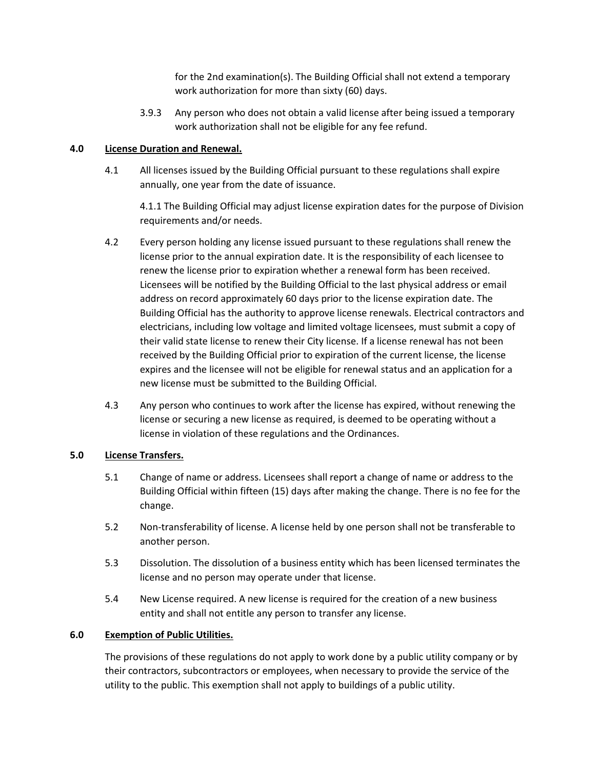for the 2nd examination(s). The Building Official shall not extend a temporary work authorization for more than sixty (60) days.

3.9.3 Any person who does not obtain a valid license after being issued a temporary work authorization shall not be eligible for any fee refund.

## **4.0 License Duration and Renewal.**

4.1 All licenses issued by the Building Official pursuant to these regulations shall expire annually, one year from the date of issuance.

4.1.1 The Building Official may adjust license expiration dates for the purpose of Division requirements and/or needs.

- 4.2 Every person holding any license issued pursuant to these regulations shall renew the license prior to the annual expiration date. It is the responsibility of each licensee to renew the license prior to expiration whether a renewal form has been received. Licensees will be notified by the Building Official to the last physical address or email address on record approximately 60 days prior to the license expiration date. The Building Official has the authority to approve license renewals. Electrical contractors and electricians, including low voltage and limited voltage licensees, must submit a copy of their valid state license to renew their City license. If a license renewal has not been received by the Building Official prior to expiration of the current license, the license expires and the licensee will not be eligible for renewal status and an application for a new license must be submitted to the Building Official.
- 4.3 Any person who continues to work after the license has expired, without renewing the license or securing a new license as required, is deemed to be operating without a license in violation of these regulations and the Ordinances.

# **5.0 License Transfers.**

- 5.1 Change of name or address. Licensees shall report a change of name or address to the Building Official within fifteen (15) days after making the change. There is no fee for the change.
- 5.2 Non-transferability of license. A license held by one person shall not be transferable to another person.
- 5.3 Dissolution. The dissolution of a business entity which has been licensed terminates the license and no person may operate under that license.
- 5.4 New License required. A new license is required for the creation of a new business entity and shall not entitle any person to transfer any license.

#### **6.0 Exemption of Public Utilities.**

The provisions of these regulations do not apply to work done by a public utility company or by their contractors, subcontractors or employees, when necessary to provide the service of the utility to the public. This exemption shall not apply to buildings of a public utility.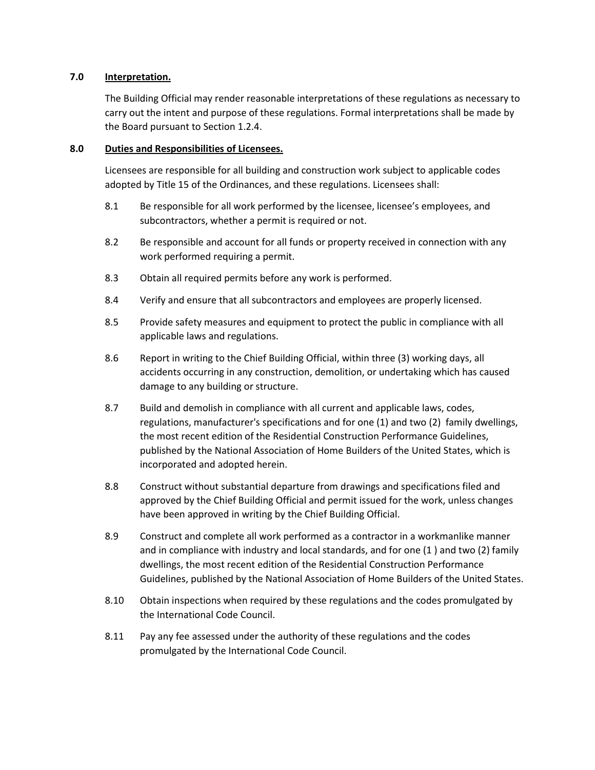#### **7.0 Interpretation.**

The Building Official may render reasonable interpretations of these regulations as necessary to carry out the intent and purpose of these regulations. Formal interpretations shall be made by the Board pursuant to Section 1.2.4.

## **8.0 Duties and Responsibilities of Licensees.**

Licensees are responsible for all building and construction work subject to applicable codes adopted by Title 15 of the Ordinances, and these regulations. Licensees shall:

- 8.1 Be responsible for all work performed by the licensee, licensee's employees, and subcontractors, whether a permit is required or not.
- 8.2 Be responsible and account for all funds or property received in connection with any work performed requiring a permit.
- 8.3 Obtain all required permits before any work is performed.
- 8.4 Verify and ensure that all subcontractors and employees are properly licensed.
- 8.5 Provide safety measures and equipment to protect the public in compliance with all applicable laws and regulations.
- 8.6 Report in writing to the Chief Building Official, within three (3) working days, all accidents occurring in any construction, demolition, or undertaking which has caused damage to any building or structure.
- 8.7 Build and demolish in compliance with all current and applicable laws, codes, regulations, manufacturer's specifications and for one (1) and two (2) family dwellings, the most recent edition of the Residential Construction Performance Guidelines, published by the National Association of Home Builders of the United States, which is incorporated and adopted herein.
- 8.8 Construct without substantial departure from drawings and specifications filed and approved by the Chief Building Official and permit issued for the work, unless changes have been approved in writing by the Chief Building Official.
- 8.9 Construct and complete all work performed as a contractor in a workmanlike manner and in compliance with industry and local standards, and for one (1 ) and two (2) family dwellings, the most recent edition of the Residential Construction Performance Guidelines, published by the National Association of Home Builders of the United States.
- 8.10 Obtain inspections when required by these regulations and the codes promulgated by the International Code Council.
- 8.11 Pay any fee assessed under the authority of these regulations and the codes promulgated by the International Code Council.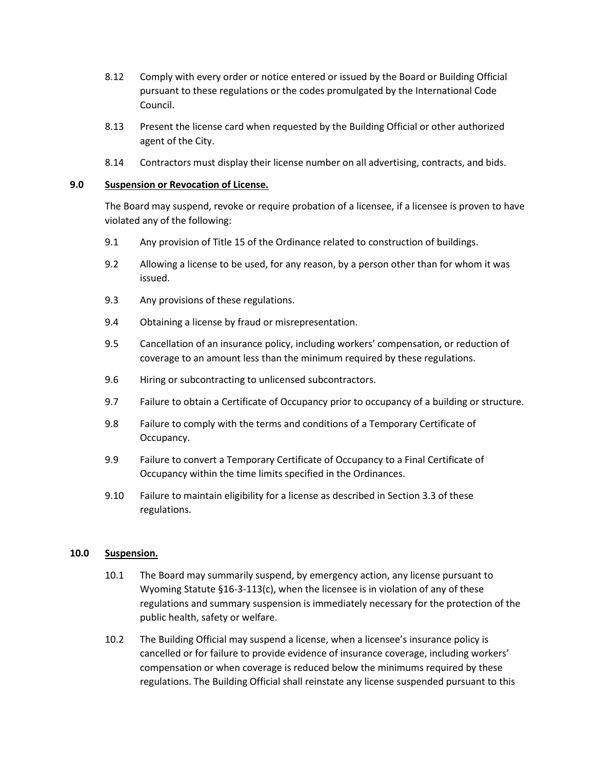- 8.12 Comply with every order or notice entered or issued by the Board or Building Official pursuant to these regulations or the codes promulgated by the International Code Council.
- 8.13 Present the license card when requested by the Building Official or other authorized agent of the City.
- 8.14 Contractors must display their license number on all advertising, contracts, and bids.

#### **9.0 Suspension or Revocation of License.**

The Board may suspend, revoke or require probation of a licensee, if a licensee is proven to have violated any of the following:

- 9.1 Any provision of Title 15 of the Ordinance related to construction of buildings.
- 9.2 Allowing a license to be used, for any reason, by a person other than for whom it was issued.
- 9.3 Any provisions of these regulations.
- 9.4 Obtaining a license by fraud or misrepresentation.
- 9.5 Cancellation of an insurance policy, including workers' compensation, or reduction of coverage to an amount less than the minimum required by these regulations.
- 9.6 Hiring or subcontracting to unlicensed subcontractors.
- 9.7 Failure to obtain a Certificate of Occupancy prior to occupancy of a building or structure.
- 9.8 Failure to comply with the terms and conditions of a Temporary Certificate of Occupancy.
- 9.9 Failure to convert a Temporary Certificate of Occupancy to a Final Certificate of Occupancy within the time limits specified in the Ordinances.
- 9.10 Failure to maintain eligibility for a license as described in Section 3.3 of these regulations.

#### **10.0 Suspension.**

- 10.1 The Board may summarily suspend, by emergency action, any license pursuant to Wyoming Statute  $\S 16-3-113(c)$ , when the licensee is in violation of any of these regulations and summary suspension is immediately necessary for the protection of the public health, safety or welfare.
- 10.2 The Building Official may suspend a license, when a licensee's insurance policy is cancelled or for failure to provide evidence of insurance coverage, including workers' compensation or when coverage is reduced below the minimums required by these regulations. The Building Official shall reinstate any license suspended pursuant to this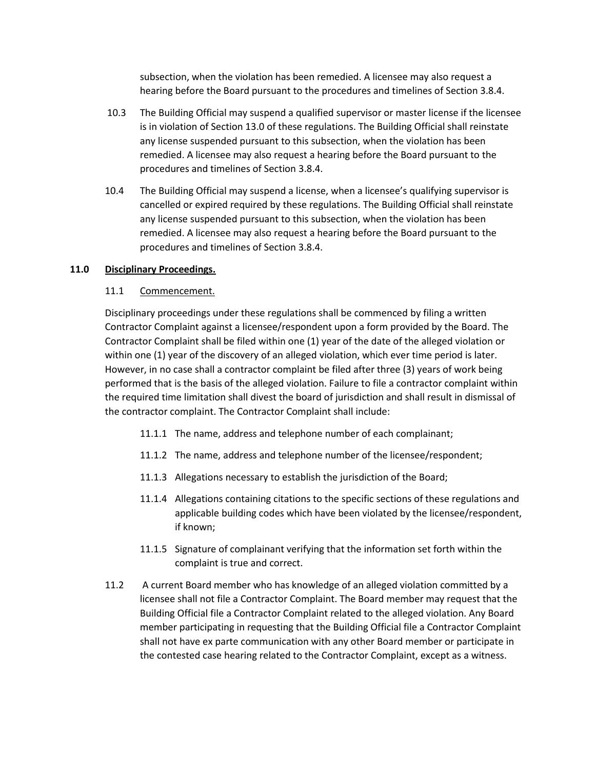subsection, when the violation has been remedied. A licensee may also request a hearing before the Board pursuant to the procedures and timelines of Section 3.8.4.

- 10.3 The Building Official may suspend a qualified supervisor or master license if the licensee is in violation of Section 13.0 of these regulations. The Building Official shall reinstate any license suspended pursuant to this subsection, when the violation has been remedied. A licensee may also request a hearing before the Board pursuant to the procedures and timelines of Section 3.8.4.
- 10.4 The Building Official may suspend a license, when a licensee's qualifying supervisor is cancelled or expired required by these regulations. The Building Official shall reinstate any license suspended pursuant to this subsection, when the violation has been remedied. A licensee may also request a hearing before the Board pursuant to the procedures and timelines of Section 3.8.4.

#### **11.0 Disciplinary Proceedings.**

## 11.1 Commencement.

Disciplinary proceedings under these regulations shall be commenced by filing a written Contractor Complaint against a licensee/respondent upon a form provided by the Board. The Contractor Complaint shall be filed within one (1) year of the date of the alleged violation or within one (1) year of the discovery of an alleged violation, which ever time period is later. However, in no case shall a contractor complaint be filed after three (3) years of work being performed that is the basis of the alleged violation. Failure to file a contractor complaint within the required time limitation shall divest the board of jurisdiction and shall result in dismissal of the contractor complaint. The Contractor Complaint shall include:

- 11.1.1 The name, address and telephone number of each complainant;
- 11.1.2 The name, address and telephone number of the licensee/respondent;
- 11.1.3 Allegations necessary to establish the jurisdiction of the Board;
- 11.1.4 Allegations containing citations to the specific sections of these regulations and applicable building codes which have been violated by the licensee/respondent, if known;
- 11.1.5 Signature of complainant verifying that the information set forth within the complaint is true and correct.
- 11.2 A current Board member who has knowledge of an alleged violation committed by a licensee shall not file a Contractor Complaint. The Board member may request that the Building Official file a Contractor Complaint related to the alleged violation. Any Board member participating in requesting that the Building Official file a Contractor Complaint shall not have ex parte communication with any other Board member or participate in the contested case hearing related to the Contractor Complaint, except as a witness.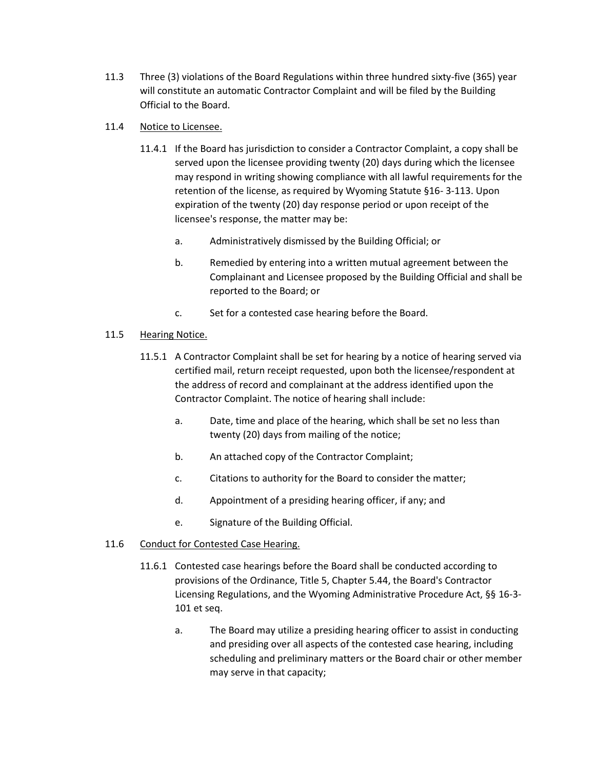11.3 Three (3) violations of the Board Regulations within three hundred sixty-five (365) year will constitute an automatic Contractor Complaint and will be filed by the Building Official to the Board.

## 11.4 Notice to Licensee.

- 11.4.1 If the Board has jurisdiction to consider a Contractor Complaint, a copy shall be served upon the licensee providing twenty (20) days during which the licensee may respond in writing showing compliance with all lawful requirements for the retention of the license, as required by Wyoming Statute §16- 3-113. Upon expiration of the twenty (20) day response period or upon receipt of the licensee's response, the matter may be:
	- a. Administratively dismissed by the Building Official; or
	- b. Remedied by entering into a written mutual agreement between the Complainant and Licensee proposed by the Building Official and shall be reported to the Board; or
	- c. Set for a contested case hearing before the Board.

# 11.5 Hearing Notice.

- 11.5.1 A Contractor Complaint shall be set for hearing by a notice of hearing served via certified mail, return receipt requested, upon both the licensee/respondent at the address of record and complainant at the address identified upon the Contractor Complaint. The notice of hearing shall include:
	- a. Date, time and place of the hearing, which shall be set no less than twenty (20) days from mailing of the notice;
	- b. An attached copy of the Contractor Complaint;
	- c. Citations to authority for the Board to consider the matter;
	- d. Appointment of a presiding hearing officer, if any; and
	- e. Signature of the Building Official.

# 11.6 Conduct for Contested Case Hearing.

- 11.6.1 Contested case hearings before the Board shall be conducted according to provisions of the Ordinance, Title 5, Chapter 5.44, the Board's Contractor Licensing Regulations, and the Wyoming Administrative Procedure Act, §§ 16-3- 101 et seq.
	- a. The Board may utilize a presiding hearing officer to assist in conducting and presiding over all aspects of the contested case hearing, including scheduling and preliminary matters or the Board chair or other member may serve in that capacity;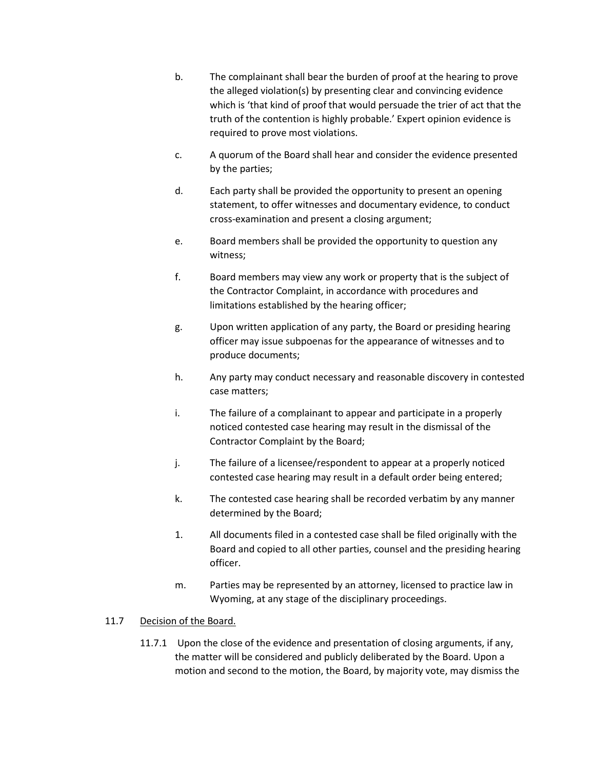- b. The complainant shall bear the burden of proof at the hearing to prove the alleged violation(s) by presenting clear and convincing evidence which is 'that kind of proof that would persuade the trier of act that the truth of the contention is highly probable.' Expert opinion evidence is required to prove most violations.
- c. A quorum of the Board shall hear and consider the evidence presented by the parties;
- d. Each party shall be provided the opportunity to present an opening statement, to offer witnesses and documentary evidence, to conduct cross-examination and present a closing argument;
- e. Board members shall be provided the opportunity to question any witness;
- f. Board members may view any work or property that is the subject of the Contractor Complaint, in accordance with procedures and limitations established by the hearing officer;
- g. Upon written application of any party, the Board or presiding hearing officer may issue subpoenas for the appearance of witnesses and to produce documents;
- h. Any party may conduct necessary and reasonable discovery in contested case matters;
- i. The failure of a complainant to appear and participate in a properly noticed contested case hearing may result in the dismissal of the Contractor Complaint by the Board;
- j. The failure of a licensee/respondent to appear at a properly noticed contested case hearing may result in a default order being entered;
- k. The contested case hearing shall be recorded verbatim by any manner determined by the Board;
- 1. All documents filed in a contested case shall be filed originally with the Board and copied to all other parties, counsel and the presiding hearing officer.
- m. Parties may be represented by an attorney, licensed to practice law in Wyoming, at any stage of the disciplinary proceedings.

# 11.7 Decision of the Board.

11.7.1 Upon the close of the evidence and presentation of closing arguments, if any, the matter will be considered and publicly deliberated by the Board. Upon a motion and second to the motion, the Board, by majority vote, may dismiss the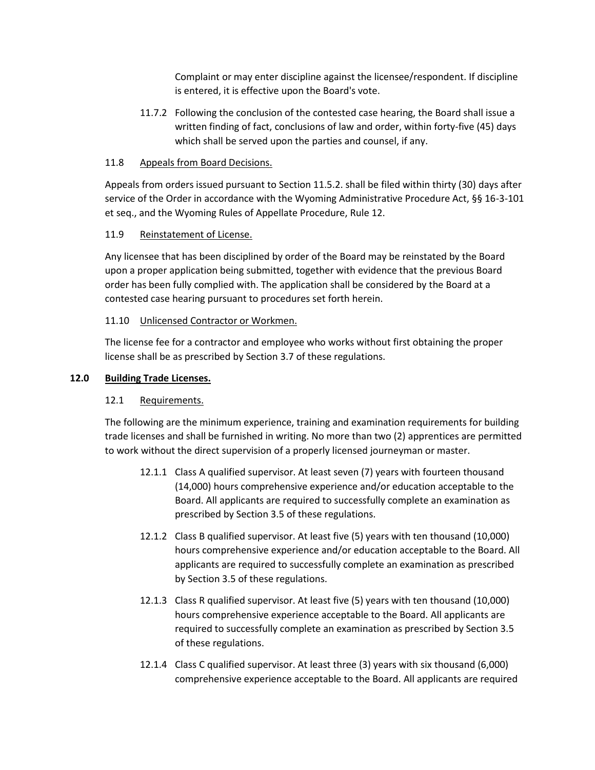Complaint or may enter discipline against the licensee/respondent. If discipline is entered, it is effective upon the Board's vote.

11.7.2 Following the conclusion of the contested case hearing, the Board shall issue a written finding of fact, conclusions of law and order, within forty-five (45) days which shall be served upon the parties and counsel, if any.

## 11.8 Appeals from Board Decisions.

Appeals from orders issued pursuant to Section 11.5.2. shall be filed within thirty (30) days after service of the Order in accordance with the Wyoming Administrative Procedure Act, §§ 16-3-101 et seq., and the Wyoming Rules of Appellate Procedure, Rule 12.

# 11.9 Reinstatement of License.

Any licensee that has been disciplined by order of the Board may be reinstated by the Board upon a proper application being submitted, together with evidence that the previous Board order has been fully complied with. The application shall be considered by the Board at a contested case hearing pursuant to procedures set forth herein.

## 11.10 Unlicensed Contractor or Workmen.

The license fee for a contractor and employee who works without first obtaining the proper license shall be as prescribed by Section 3.7 of these regulations.

## **12.0 Building Trade Licenses.**

# 12.1 Requirements.

The following are the minimum experience, training and examination requirements for building trade licenses and shall be furnished in writing. No more than two (2) apprentices are permitted to work without the direct supervision of a properly licensed journeyman or master.

- 12.1.1 Class A qualified supervisor. At least seven (7) years with fourteen thousand (14,000) hours comprehensive experience and/or education acceptable to the Board. All applicants are required to successfully complete an examination as prescribed by Section 3.5 of these regulations.
- 12.1.2 Class B qualified supervisor. At least five (5) years with ten thousand (10,000) hours comprehensive experience and/or education acceptable to the Board. All applicants are required to successfully complete an examination as prescribed by Section 3.5 of these regulations.
- 12.1.3 Class R qualified supervisor. At least five (5) years with ten thousand (10,000) hours comprehensive experience acceptable to the Board. All applicants are required to successfully complete an examination as prescribed by Section 3.5 of these regulations.
- 12.1.4 Class C qualified supervisor. At least three (3) years with six thousand (6,000) comprehensive experience acceptable to the Board. All applicants are required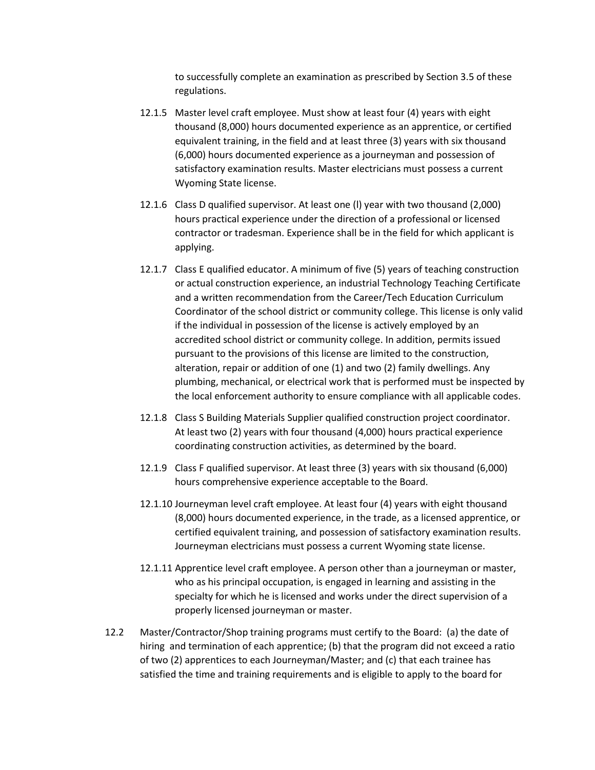to successfully complete an examination as prescribed by Section 3.5 of these regulations.

- 12.1.5 Master level craft employee. Must show at least four (4) years with eight thousand (8,000) hours documented experience as an apprentice, or certified equivalent training, in the field and at least three (3) years with six thousand (6,000) hours documented experience as a journeyman and possession of satisfactory examination results. Master electricians must possess a current Wyoming State license.
- 12.1.6 Class D qualified supervisor. At least one (l) year with two thousand (2,000) hours practical experience under the direction of a professional or licensed contractor or tradesman. Experience shall be in the field for which applicant is applying.
- 12.1.7 Class E qualified educator. A minimum of five (5) years of teaching construction or actual construction experience, an industrial Technology Teaching Certificate and a written recommendation from the Career/Tech Education Curriculum Coordinator of the school district or community college. This license is only valid if the individual in possession of the license is actively employed by an accredited school district or community college. In addition, permits issued pursuant to the provisions of this license are limited to the construction, alteration, repair or addition of one (1) and two (2) family dwellings. Any plumbing, mechanical, or electrical work that is performed must be inspected by the local enforcement authority to ensure compliance with all applicable codes.
- 12.1.8 Class S Building Materials Supplier qualified construction project coordinator. At least two (2) years with four thousand (4,000) hours practical experience coordinating construction activities, as determined by the board.
- 12.1.9 Class F qualified supervisor. At least three (3) years with six thousand (6,000) hours comprehensive experience acceptable to the Board.
- 12.1.10 Journeyman level craft employee. At least four (4) years with eight thousand (8,000) hours documented experience, in the trade, as a licensed apprentice, or certified equivalent training, and possession of satisfactory examination results. Journeyman electricians must possess a current Wyoming state license.
- 12.1.11 Apprentice level craft employee. A person other than a journeyman or master, who as his principal occupation, is engaged in learning and assisting in the specialty for which he is licensed and works under the direct supervision of a properly licensed journeyman or master.
- 12.2 Master/Contractor/Shop training programs must certify to the Board: (a) the date of hiring and termination of each apprentice; (b) that the program did not exceed a ratio of two (2) apprentices to each Journeyman/Master; and (c) that each trainee has satisfied the time and training requirements and is eligible to apply to the board for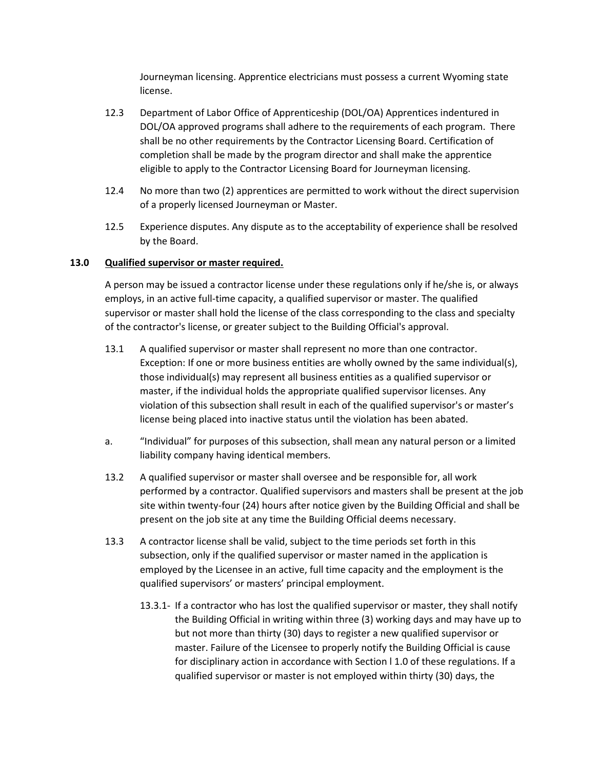Journeyman licensing. Apprentice electricians must possess a current Wyoming state license.

- 12.3 Department of Labor Office of Apprenticeship (DOL/OA) Apprentices indentured in DOL/OA approved programs shall adhere to the requirements of each program. There shall be no other requirements by the Contractor Licensing Board. Certification of completion shall be made by the program director and shall make the apprentice eligible to apply to the Contractor Licensing Board for Journeyman licensing.
- 12.4 No more than two (2) apprentices are permitted to work without the direct supervision of a properly licensed Journeyman or Master.
- 12.5 Experience disputes. Any dispute as to the acceptability of experience shall be resolved by the Board.

#### **13.0 Qualified supervisor or master required.**

A person may be issued a contractor license under these regulations only if he/she is, or always employs, in an active full-time capacity, a qualified supervisor or master. The qualified supervisor or master shall hold the license of the class corresponding to the class and specialty of the contractor's license, or greater subject to the Building Official's approval.

- 13.1 A qualified supervisor or master shall represent no more than one contractor. Exception: If one or more business entities are wholly owned by the same individual(s), those individual(s) may represent all business entities as a qualified supervisor or master, if the individual holds the appropriate qualified supervisor licenses. Any violation of this subsection shall result in each of the qualified supervisor's or master's license being placed into inactive status until the violation has been abated.
- a. "Individual" for purposes of this subsection, shall mean any natural person or a limited liability company having identical members.
- 13.2 A qualified supervisor or master shall oversee and be responsible for, all work performed by a contractor. Qualified supervisors and masters shall be present at the job site within twenty-four (24) hours after notice given by the Building Official and shall be present on the job site at any time the Building Official deems necessary.
- 13.3 A contractor license shall be valid, subject to the time periods set forth in this subsection, only if the qualified supervisor or master named in the application is employed by the Licensee in an active, full time capacity and the employment is the qualified supervisors' or masters' principal employment.
	- 13.3.1- If a contractor who has lost the qualified supervisor or master, they shall notify the Building Official in writing within three (3) working days and may have up to but not more than thirty (30) days to register a new qualified supervisor or master. Failure of the Licensee to properly notify the Building Official is cause for disciplinary action in accordance with Section I 1.0 of these regulations. If a qualified supervisor or master is not employed within thirty (30) days, the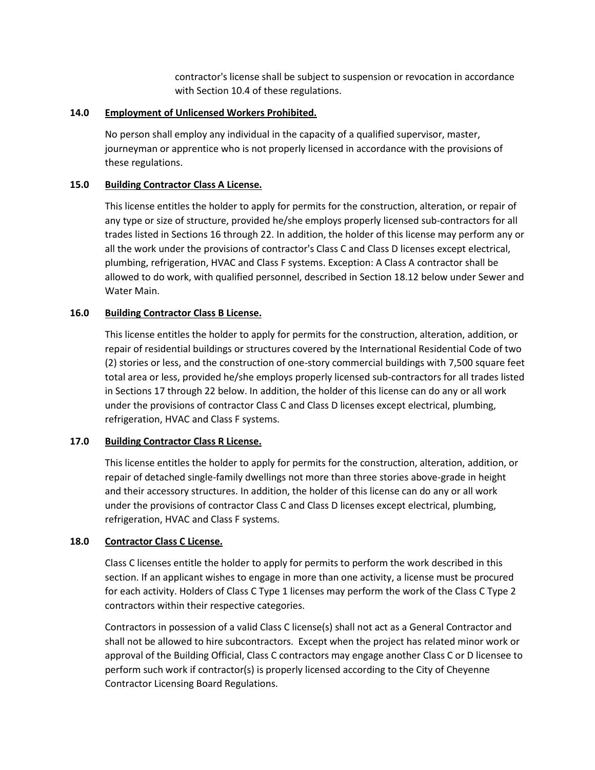contractor's license shall be subject to suspension or revocation in accordance with Section 10.4 of these regulations.

## **14.0 Employment of Unlicensed Workers Prohibited.**

No person shall employ any individual in the capacity of a qualified supervisor, master, journeyman or apprentice who is not properly licensed in accordance with the provisions of these regulations.

## **15.0 Building Contractor Class A License.**

This license entitles the holder to apply for permits for the construction, alteration, or repair of any type or size of structure, provided he/she employs properly licensed sub-contractors for all trades listed in Sections 16 through 22. In addition, the holder of this license may perform any or all the work under the provisions of contractor's Class C and Class D licenses except electrical, plumbing, refrigeration, HVAC and Class F systems. Exception: A Class A contractor shall be allowed to do work, with qualified personnel, described in Section 18.12 below under Sewer and Water Main.

## **16.0 Building Contractor Class B License.**

This license entitles the holder to apply for permits for the construction, alteration, addition, or repair of residential buildings or structures covered by the International Residential Code of two (2) stories or less, and the construction of one-story commercial buildings with 7,500 square feet total area or less, provided he/she employs properly licensed sub-contractors for all trades listed in Sections 17 through 22 below. In addition, the holder of this license can do any or all work under the provisions of contractor Class C and Class D licenses except electrical, plumbing, refrigeration, HVAC and Class F systems.

#### **17.0 Building Contractor Class R License.**

This license entitles the holder to apply for permits for the construction, alteration, addition, or repair of detached single-family dwellings not more than three stories above-grade in height and their accessory structures. In addition, the holder of this license can do any or all work under the provisions of contractor Class C and Class D licenses except electrical, plumbing, refrigeration, HVAC and Class F systems.

#### **18.0 Contractor Class C License.**

Class C licenses entitle the holder to apply for permits to perform the work described in this section. If an applicant wishes to engage in more than one activity, a license must be procured for each activity. Holders of Class C Type 1 licenses may perform the work of the Class C Type 2 contractors within their respective categories.

Contractors in possession of a valid Class C license(s) shall not act as a General Contractor and shall not be allowed to hire subcontractors. Except when the project has related minor work or approval of the Building Official, Class C contractors may engage another Class C or D licensee to perform such work if contractor(s) is properly licensed according to the City of Cheyenne Contractor Licensing Board Regulations.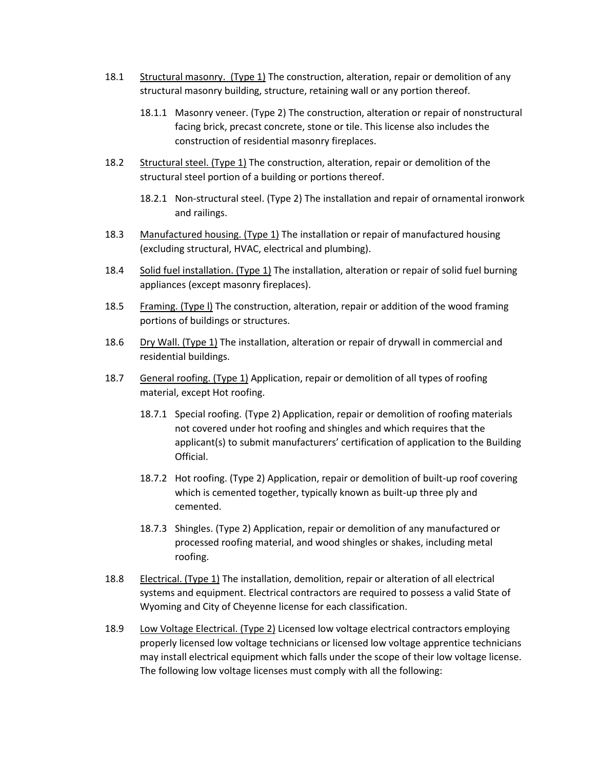- 18.1 Structural masonry. (Type 1) The construction, alteration, repair or demolition of any structural masonry building, structure, retaining wall or any portion thereof.
	- 18.1.1 Masonry veneer. (Type 2) The construction, alteration or repair of nonstructural facing brick, precast concrete, stone or tile. This license also includes the construction of residential masonry fireplaces.
- 18.2 Structural steel. (Type 1) The construction, alteration, repair or demolition of the structural steel portion of a building or portions thereof.
	- 18.2.1 Non-structural steel. (Type 2) The installation and repair of ornamental ironwork and railings.
- 18.3 Manufactured housing. (Type 1) The installation or repair of manufactured housing (excluding structural, HVAC, electrical and plumbing).
- 18.4 Solid fuel installation. (Type 1) The installation, alteration or repair of solid fuel burning appliances (except masonry fireplaces).
- 18.5 Framing. (Type I) The construction, alteration, repair or addition of the wood framing portions of buildings or structures.
- 18.6 Dry Wall. (Type 1) The installation, alteration or repair of drywall in commercial and residential buildings.
- 18.7 General roofing. (Type 1) Application, repair or demolition of all types of roofing material, except Hot roofing.
	- 18.7.1 Special roofing. (Type 2) Application, repair or demolition of roofing materials not covered under hot roofing and shingles and which requires that the applicant(s) to submit manufacturers' certification of application to the Building Official.
	- 18.7.2 Hot roofing. (Type 2) Application, repair or demolition of built-up roof covering which is cemented together, typically known as built-up three ply and cemented.
	- 18.7.3 Shingles. (Type 2) Application, repair or demolition of any manufactured or processed roofing material, and wood shingles or shakes, including metal roofing.
- 18.8 Electrical. (Type 1) The installation, demolition, repair or alteration of all electrical systems and equipment. Electrical contractors are required to possess a valid State of Wyoming and City of Cheyenne license for each classification.
- 18.9 Low Voltage Electrical. (Type 2) Licensed low voltage electrical contractors employing properly licensed low voltage technicians or licensed low voltage apprentice technicians may install electrical equipment which falls under the scope of their low voltage license. The following low voltage licenses must comply with all the following: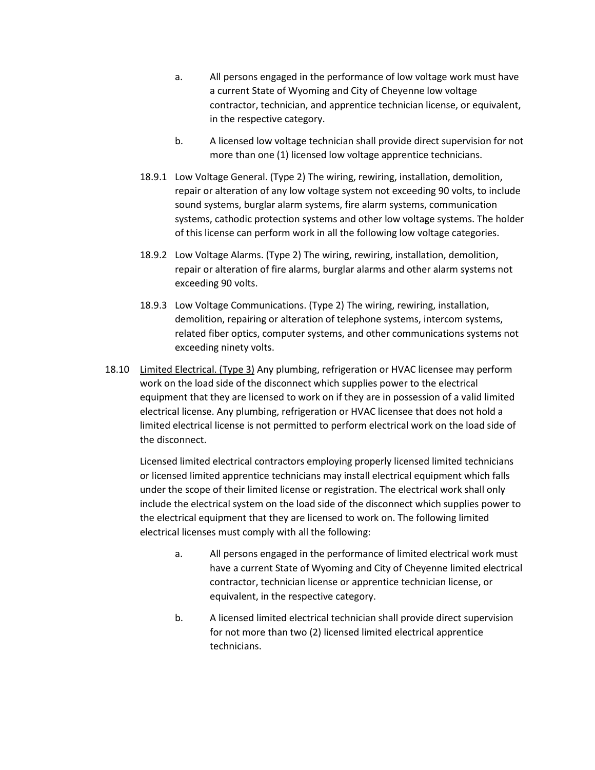- a. All persons engaged in the performance of low voltage work must have a current State of Wyoming and City of Cheyenne low voltage contractor, technician, and apprentice technician license, or equivalent, in the respective category.
- b. A licensed low voltage technician shall provide direct supervision for not more than one (1) licensed low voltage apprentice technicians.
- 18.9.1 Low Voltage General. (Type 2) The wiring, rewiring, installation, demolition, repair or alteration of any low voltage system not exceeding 90 volts, to include sound systems, burglar alarm systems, fire alarm systems, communication systems, cathodic protection systems and other low voltage systems. The holder of this license can perform work in all the following low voltage categories.
- 18.9.2 Low Voltage Alarms. (Type 2) The wiring, rewiring, installation, demolition, repair or alteration of fire alarms, burglar alarms and other alarm systems not exceeding 90 volts.
- 18.9.3 Low Voltage Communications. (Type 2) The wiring, rewiring, installation, demolition, repairing or alteration of telephone systems, intercom systems, related fiber optics, computer systems, and other communications systems not exceeding ninety volts.
- 18.10 Limited Electrical. (Type 3) Any plumbing, refrigeration or HVAC licensee may perform work on the load side of the disconnect which supplies power to the electrical equipment that they are licensed to work on if they are in possession of a valid limited electrical license. Any plumbing, refrigeration or HVAC licensee that does not hold a limited electrical license is not permitted to perform electrical work on the load side of the disconnect.

Licensed limited electrical contractors employing properly licensed limited technicians or licensed limited apprentice technicians may install electrical equipment which falls under the scope of their limited license or registration. The electrical work shall only include the electrical system on the load side of the disconnect which supplies power to the electrical equipment that they are licensed to work on. The following limited electrical licenses must comply with all the following:

- a. All persons engaged in the performance of limited electrical work must have a current State of Wyoming and City of Cheyenne limited electrical contractor, technician license or apprentice technician license, or equivalent, in the respective category.
- b. A licensed limited electrical technician shall provide direct supervision for not more than two (2) licensed limited electrical apprentice technicians.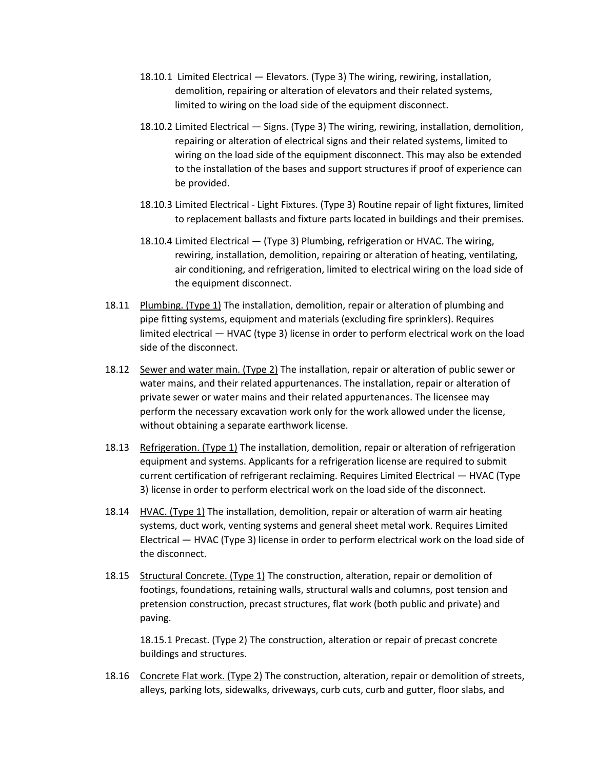- 18.10.1 Limited Electrical Elevators. (Type 3) The wiring, rewiring, installation, demolition, repairing or alteration of elevators and their related systems, limited to wiring on the load side of the equipment disconnect.
- 18.10.2 Limited Electrical Signs. (Type 3) The wiring, rewiring, installation, demolition, repairing or alteration of electrical signs and their related systems, limited to wiring on the load side of the equipment disconnect. This may also be extended to the installation of the bases and support structures if proof of experience can be provided.
- 18.10.3 Limited Electrical Light Fixtures. (Type 3) Routine repair of light fixtures, limited to replacement ballasts and fixture parts located in buildings and their premises.
- 18.10.4 Limited Electrical (Type 3) Plumbing, refrigeration or HVAC. The wiring, rewiring, installation, demolition, repairing or alteration of heating, ventilating, air conditioning, and refrigeration, limited to electrical wiring on the load side of the equipment disconnect.
- 18.11 Plumbing. (Type 1) The installation, demolition, repair or alteration of plumbing and pipe fitting systems, equipment and materials (excluding fire sprinklers). Requires limited electrical — HVAC (type 3) license in order to perform electrical work on the load side of the disconnect.
- 18.12 Sewer and water main. (Type 2) The installation, repair or alteration of public sewer or water mains, and their related appurtenances. The installation, repair or alteration of private sewer or water mains and their related appurtenances. The licensee may perform the necessary excavation work only for the work allowed under the license, without obtaining a separate earthwork license.
- 18.13 Refrigeration. (Type 1) The installation, demolition, repair or alteration of refrigeration equipment and systems. Applicants for a refrigeration license are required to submit current certification of refrigerant reclaiming. Requires Limited Electrical — HVAC (Type 3) license in order to perform electrical work on the load side of the disconnect.
- 18.14 HVAC. (Type 1) The installation, demolition, repair or alteration of warm air heating systems, duct work, venting systems and general sheet metal work. Requires Limited Electrical — HVAC (Type 3) license in order to perform electrical work on the load side of the disconnect.
- 18.15 Structural Concrete. (Type 1) The construction, alteration, repair or demolition of footings, foundations, retaining walls, structural walls and columns, post tension and pretension construction, precast structures, flat work (both public and private) and paving.

18.15.1 Precast. (Type 2) The construction, alteration or repair of precast concrete buildings and structures.

18.16 Concrete Flat work. (Type 2) The construction, alteration, repair or demolition of streets, alleys, parking lots, sidewalks, driveways, curb cuts, curb and gutter, floor slabs, and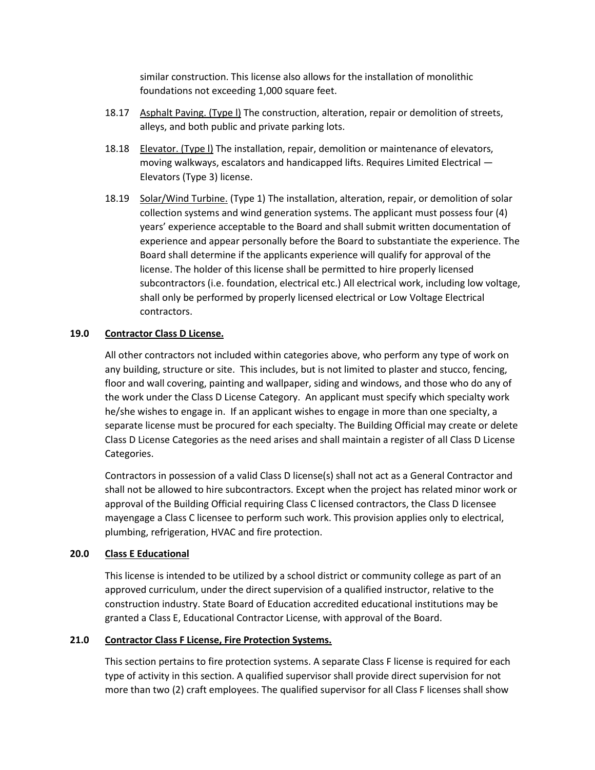similar construction. This license also allows for the installation of monolithic foundations not exceeding 1,000 square feet.

- 18.17 Asphalt Paving. (Type l) The construction, alteration, repair or demolition of streets, alleys, and both public and private parking lots.
- 18.18 Elevator. (Type I) The installation, repair, demolition or maintenance of elevators, moving walkways, escalators and handicapped lifts. Requires Limited Electrical — Elevators (Type 3) license.
- 18.19 Solar/Wind Turbine. (Type 1) The installation, alteration, repair, or demolition of solar collection systems and wind generation systems. The applicant must possess four (4) years' experience acceptable to the Board and shall submit written documentation of experience and appear personally before the Board to substantiate the experience. The Board shall determine if the applicants experience will qualify for approval of the license. The holder of this license shall be permitted to hire properly licensed subcontractors (i.e. foundation, electrical etc.) All electrical work, including low voltage, shall only be performed by properly licensed electrical or Low Voltage Electrical contractors.

#### **19.0 Contractor Class D License.**

All other contractors not included within categories above, who perform any type of work on any building, structure or site. This includes, but is not limited to plaster and stucco, fencing, floor and wall covering, painting and wallpaper, siding and windows, and those who do any of the work under the Class D License Category. An applicant must specify which specialty work he/she wishes to engage in. If an applicant wishes to engage in more than one specialty, a separate license must be procured for each specialty. The Building Official may create or delete Class D License Categories as the need arises and shall maintain a register of all Class D License Categories.

Contractors in possession of a valid Class D license(s) shall not act as a General Contractor and shall not be allowed to hire subcontractors. Except when the project has related minor work or approval of the Building Official requiring Class C licensed contractors, the Class D licensee mayengage a Class C licensee to perform such work. This provision applies only to electrical, plumbing, refrigeration, HVAC and fire protection.

#### **20.0 Class E Educational**

This license is intended to be utilized by a school district or community college as part of an approved curriculum, under the direct supervision of a qualified instructor, relative to the construction industry. State Board of Education accredited educational institutions may be granted a Class E, Educational Contractor License, with approval of the Board.

#### **21.0 Contractor Class F License, Fire Protection Systems.**

This section pertains to fire protection systems. A separate Class F license is required for each type of activity in this section. A qualified supervisor shall provide direct supervision for not more than two (2) craft employees. The qualified supervisor for all Class F licenses shall show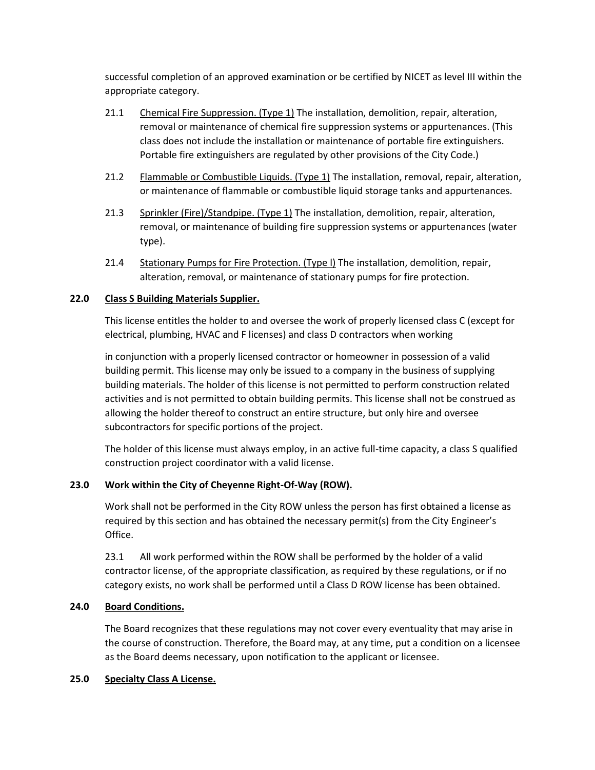successful completion of an approved examination or be certified by NICET as level III within the appropriate category.

- 21.1 Chemical Fire Suppression. (Type 1) The installation, demolition, repair, alteration, removal or maintenance of chemical fire suppression systems or appurtenances. (This class does not include the installation or maintenance of portable fire extinguishers. Portable fire extinguishers are regulated by other provisions of the City Code.)
- 21.2 Flammable or Combustible Liquids. (Type 1) The installation, removal, repair, alteration, or maintenance of flammable or combustible liquid storage tanks and appurtenances.
- 21.3 Sprinkler (Fire)/Standpipe. (Type 1) The installation, demolition, repair, alteration, removal, or maintenance of building fire suppression systems or appurtenances (water type).
- 21.4 Stationary Pumps for Fire Protection. (Type l) The installation, demolition, repair, alteration, removal, or maintenance of stationary pumps for fire protection.

## **22.0 Class S Building Materials Supplier.**

This license entitles the holder to and oversee the work of properly licensed class C (except for electrical, plumbing, HVAC and F licenses) and class D contractors when working

in conjunction with a properly licensed contractor or homeowner in possession of a valid building permit. This license may only be issued to a company in the business of supplying building materials. The holder of this license is not permitted to perform construction related activities and is not permitted to obtain building permits. This license shall not be construed as allowing the holder thereof to construct an entire structure, but only hire and oversee subcontractors for specific portions of the project.

The holder of this license must always employ, in an active full-time capacity, a class S qualified construction project coordinator with a valid license.

#### **23.0 Work within the City of Cheyenne Right-Of-Way (ROW).**

Work shall not be performed in the City ROW unless the person has first obtained a license as required by this section and has obtained the necessary permit(s) from the City Engineer's Office.

23.1 All work performed within the ROW shall be performed by the holder of a valid contractor license, of the appropriate classification, as required by these regulations, or if no category exists, no work shall be performed until a Class D ROW license has been obtained.

#### **24.0 Board Conditions.**

The Board recognizes that these regulations may not cover every eventuality that may arise in the course of construction. Therefore, the Board may, at any time, put a condition on a licensee as the Board deems necessary, upon notification to the applicant or licensee.

## **25.0 Specialty Class A License.**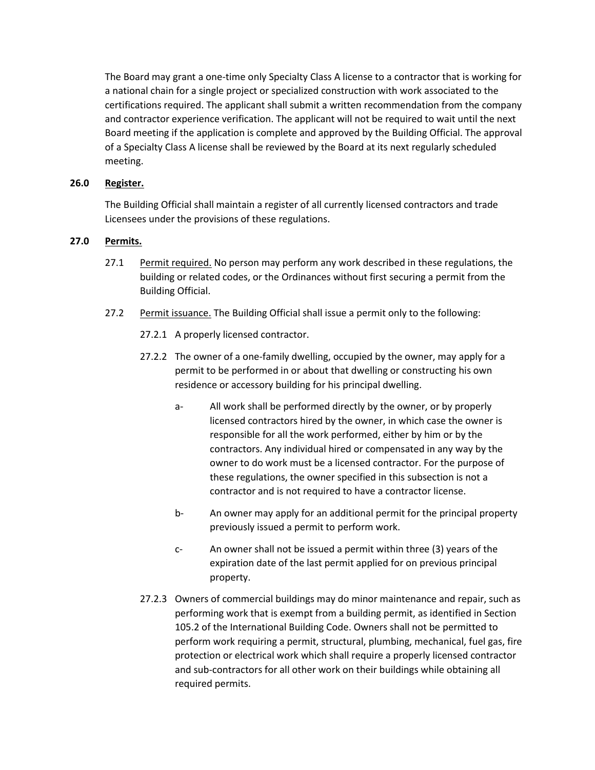The Board may grant a one-time only Specialty Class A license to a contractor that is working for a national chain for a single project or specialized construction with work associated to the certifications required. The applicant shall submit a written recommendation from the company and contractor experience verification. The applicant will not be required to wait until the next Board meeting if the application is complete and approved by the Building Official. The approval of a Specialty Class A license shall be reviewed by the Board at its next regularly scheduled meeting.

## **26.0 Register.**

The Building Official shall maintain a register of all currently licensed contractors and trade Licensees under the provisions of these regulations.

## **27.0 Permits.**

- 27.1 Permit required. No person may perform any work described in these regulations, the building or related codes, or the Ordinances without first securing a permit from the Building Official.
- 27.2 Permit issuance. The Building Official shall issue a permit only to the following:
	- 27.2.1 A properly licensed contractor.
	- 27.2.2 The owner of a one-family dwelling, occupied by the owner, may apply for a permit to be performed in or about that dwelling or constructing his own residence or accessory building for his principal dwelling.
		- a- All work shall be performed directly by the owner, or by properly licensed contractors hired by the owner, in which case the owner is responsible for all the work performed, either by him or by the contractors. Any individual hired or compensated in any way by the owner to do work must be a licensed contractor. For the purpose of these regulations, the owner specified in this subsection is not a contractor and is not required to have a contractor license.
		- b- An owner may apply for an additional permit for the principal property previously issued a permit to perform work.
		- c- An owner shall not be issued a permit within three (3) years of the expiration date of the last permit applied for on previous principal property.
	- 27.2.3 Owners of commercial buildings may do minor maintenance and repair, such as performing work that is exempt from a building permit, as identified in Section 105.2 of the International Building Code. Owners shall not be permitted to perform work requiring a permit, structural, plumbing, mechanical, fuel gas, fire protection or electrical work which shall require a properly licensed contractor and sub-contractors for all other work on their buildings while obtaining all required permits.